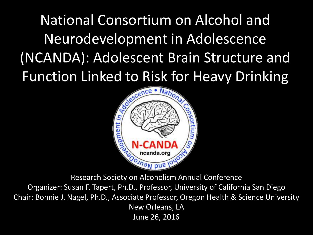National Consortium on Alcohol and Neurodevelopment in Adolescence (NCANDA): Adolescent Brain Structure and Function Linked to Risk for Heavy Drinking



Research Society on Alcoholism Annual Conference

Organizer: Susan F. Tapert, Ph.D., Professor, University of California San Diego Chair: Bonnie J. Nagel, Ph.D., Associate Professor, Oregon Health & Science University New Orleans, LA June 26, 2016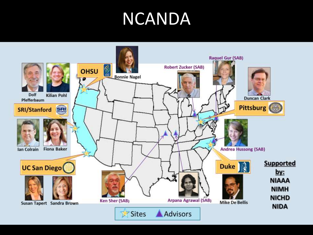## NCANDA

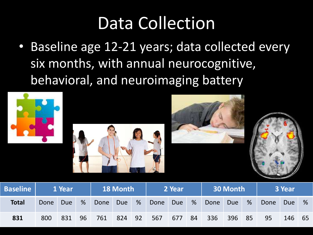## Data Collection

• Baseline age 12-21 years; data collected every six months, with annual neurocognitive, behavioral, and neuroimaging battery





| <b>Baseline</b> | 1 Year |     |                 | <b>18 Month</b> |     |   | 2 Year |       |  | 30 Month   |        |  | <b>S</b> Year |        |   |
|-----------------|--------|-----|-----------------|-----------------|-----|---|--------|-------|--|------------|--------|--|---------------|--------|---|
| <b>Total</b>    | Done   | Due | $\frac{9}{6}$   | Done            | Due | % | Done   | Due % |  | Done       | Due %  |  | Done          | Due    | % |
| 831             | 800    | 831 | 96 <sub>l</sub> | 761 824 92      |     |   | 567    |       |  | 677 84 336 | 396 85 |  | 95            | 146 65 |   |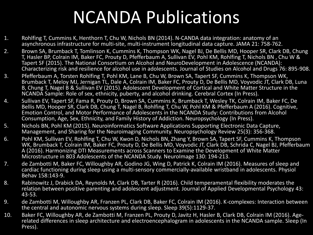## NCANDA Publications

- 1. Rohlfing T, Cummins K, Henthorn T, Chu W, Nichols BN (2014). N-CANDA data integration: anatomy of an asynchronous infrastructure for multi-site, multi-instrument longitudinal data capture. JAMA 21: 758-762.
- 2. Brown SA, Brumback T, Tomlinson K, Cummins K, Thompson WK, Nagel BJ, De Bellis MD, Hooper SR, Clark DB, Chung T, Hasler BP, Colrain IM, Baker FC, Prouty D, Pfefferbaum A, Sullivan EV, Pohl KM, Rohlfing T, Nichols BN , Chu W & Tapert SF (2015). The National Consortium on Alcohol and NeuroDevelopment in Adolescence (NCANDA): Characterizing risk and resilience for alcohol use in adolescents. Journal of Studies on Alcohol and Drugs 76: 895-908.
- 3. Pfefferbaum A, Torsten Rohlfing T, Pohl KM, Lane B, Chu W, Brown SA, Tapert SF, Cummins K, Thompson WK, Brumback T, Meloy MJ, Jernigan TL, Dale A, Colrain IM, Baker FC, Prouty D, De Bellis MD, Voyvodic JT, Clark DB, Luna B, Chung T, Nagel B & Sullivan EV (2015). Adolescent Development of Cortical and White Matter Structure in the NCANDA Sample: Role of sex, ethnicity, puberty, and alcohol drinking. Cerebral Cortex (In Press).
- 4. Sullivan EV, Tapert SF, Fama R, Prouty D, Brown SA, Cummins K, Brumback T, Wesley TK, Colrain IM, Baker FC, De Bellis MD, Hooper SR, Clark DB, Chung T, Nagel B, Rohlfing T, Chu W, Pohl KM & Pfefferbaum A (2016). Cognitive, Emotion Control, and Motor Performance of Adolescents in the NCANDA Study: Contributions from Alcohol Consumption, Age, Sex, Ethnicity, and Family History of Addiction. Neuropsychology (In Press).
- 5. Nichols BN, Pohl KM (2015). Neuroinformatics Software Applications Supporting Electronic Data Capture, Management, and Sharing for the Neuroimaging Community. Neuropsychology Review 25(3): 356-368.
- 6. Pohl KM, Sullivan EV, Rohlfing T, Chu W, Kwon D, Nichols BN, Zhang Y, Brown SA, Tapert SF, Cummins K, Thompson WK, Brumback T, Colrain IM, Baker FC, Prouty D, De Bellis MD, Voyvodic JT, Clark DB, Schrida C, Nagel BJ, Pfefferbaum A (2016). Harmonizing DTI Measurements across Scanners to Examine the Development of White Matter Microstructure in 803 Adolescents of the NCANDA Study. NeuroImage 130: 194-213.
- 7. de Zambotti M, Baker FC, Willoughby AR, Godino JG, Wing D, Patrick K, Colrain IM (2016). Measures of sleep and cardiac functioning during sleep using a multi-sensory commercially-available wristband in adolescents. Physiol Behav 158:143-9.
- 8. Rabinowitz J, Drabick DA, Reynolds M, Clark DB, Tarter R (2016). Child temperamental flexibility moderates the relation between positive parenting and adolescent adjustment. Journal of Applied Developmental Psychology 43: 43-53.
- 9. de Zambotti M, Willoughby AR, Franzen PL, Clark DB, Baker FC, Colrain IM (2016). K-complexes: Interaction between the central and autonomic nervous systems during sleep. Sleep 39(5):1129-37.
- 10. Baker FC, Willoughby AR, de Zambotti M, Franzen PL, Prouty D, Javitz H, Hasler B, Clark DB, Colrain IM (2016). Agerelated differences in sleep architecture and electroencephalogram in adolescents in the NCANDA sample. Sleep (In Press).